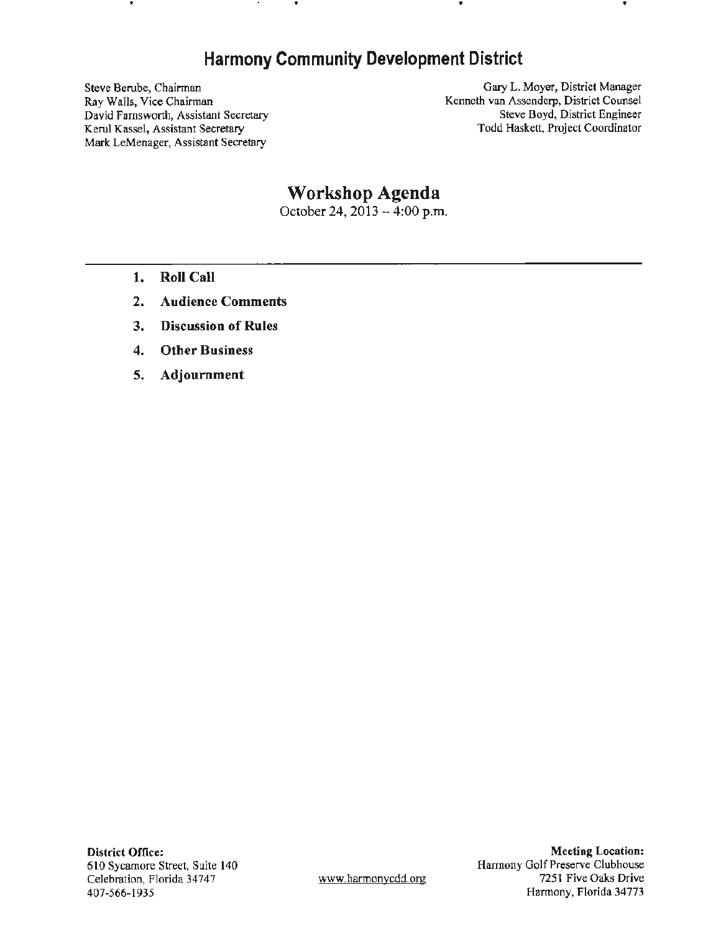## **Harmony Community Development District**

..

Steve Berube, Chairman Ray Walls, Vice Chairman David Farnsworth, Assistant Secretary Kerul Kassel, Assistant Secretary **Mark** LeMenager, Assistant Secretary

Gary L. Moyer, District Manager Kenneth van Assenderp, District Counsel Steve Boyd, District Engineer Todd Haskett, Project Coordinator

# **Workshop Agenda**

October 24,  $20\overline{1}3 - 4:00$  p.m.

- **1. Roll Call**
- **2. Audience Comments**
- **3. Discussion of Rules**
- **4. Other Business**
- **5. Adjournment**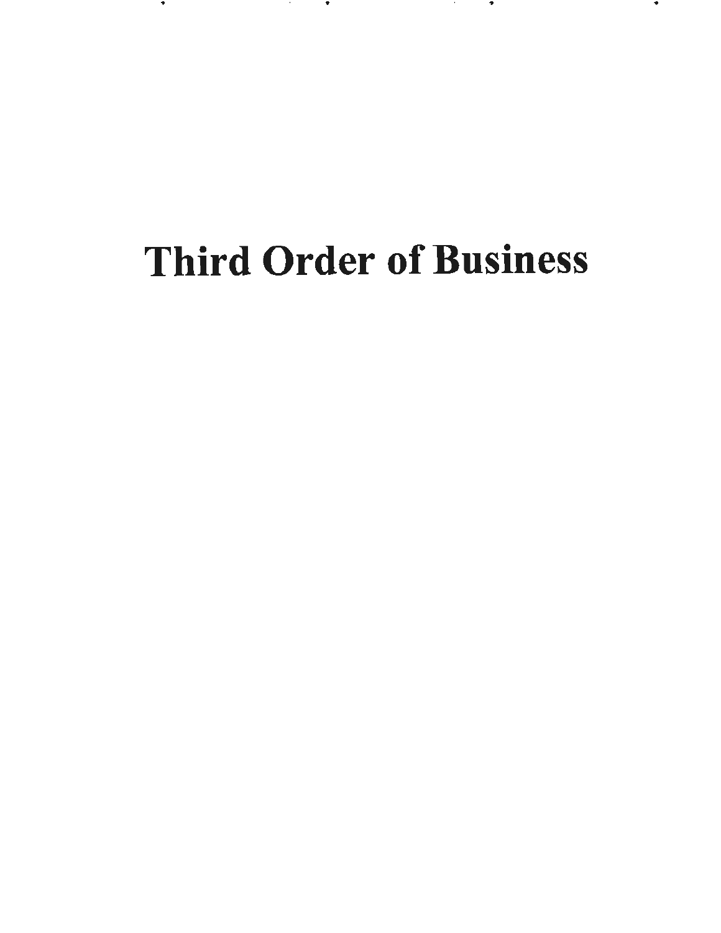# Third Order of Business

.. .. .. .. .. .. .. ...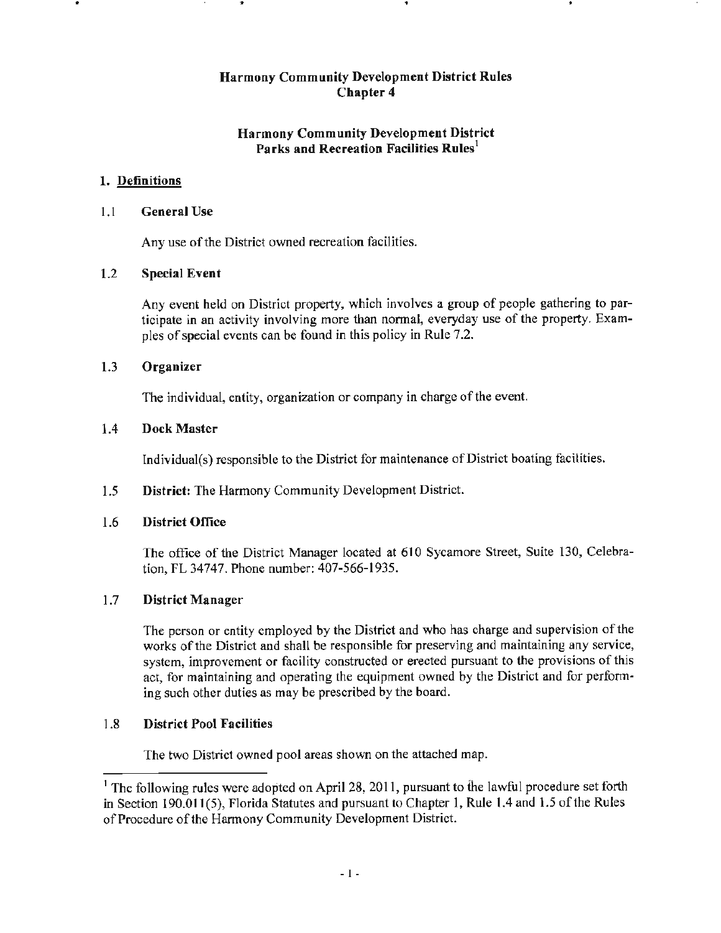## **Harmony Community Development District Parks and Recreation Facilities Rules<sup>1</sup>**

## 1. **Definitions**

## 1.1 **General Use**

Any use of the District owned recreation facilities.

## 1.2 **Special Event**

Any event held on District property, which involves a group of people gathering to participate in an activity involving more than normal, everyday use of the property. Examples of special events can be found in this policy in Rule 7.2.

## 1.3 **Organizer**

The individual, entity, organization or company in charge of the event.

## 1.4 **Dock Master**

Individual(s) responsible to the District for maintenance of District boating facilities.

1.5 **District:** The Harmony Community Development District.

## 1.6 **District Office**

The office of the District Manager located at 610 Sycamore Street, Suite 130, Celebration, FL 34747. Phone number: 407-566-1935.

## 1. 7 **District Manager**

The person or entity employed by the District and who has charge and supervision of the works of the District and shall be responsible for preserving and maintaining any service, system, improvement or facility constructed or erected pursuant to the provisions of this act, for maintaining and operating the equipment owned by the District and for performing such other duties as may be prescribed by the board.

## 1.8 **District Pool Facilities**

The two District owned pool areas shown on the attached map.

<sup>&</sup>lt;sup>1</sup> The following rules were adopted on April 28, 2011, pursuant to the lawful procedure set forth in Section 190.011(5), Florida Statutes and pursuant to Chapter 1, Rule 1.4 and 1.5 of the Rules of Procedure of the Harmony Community Development District.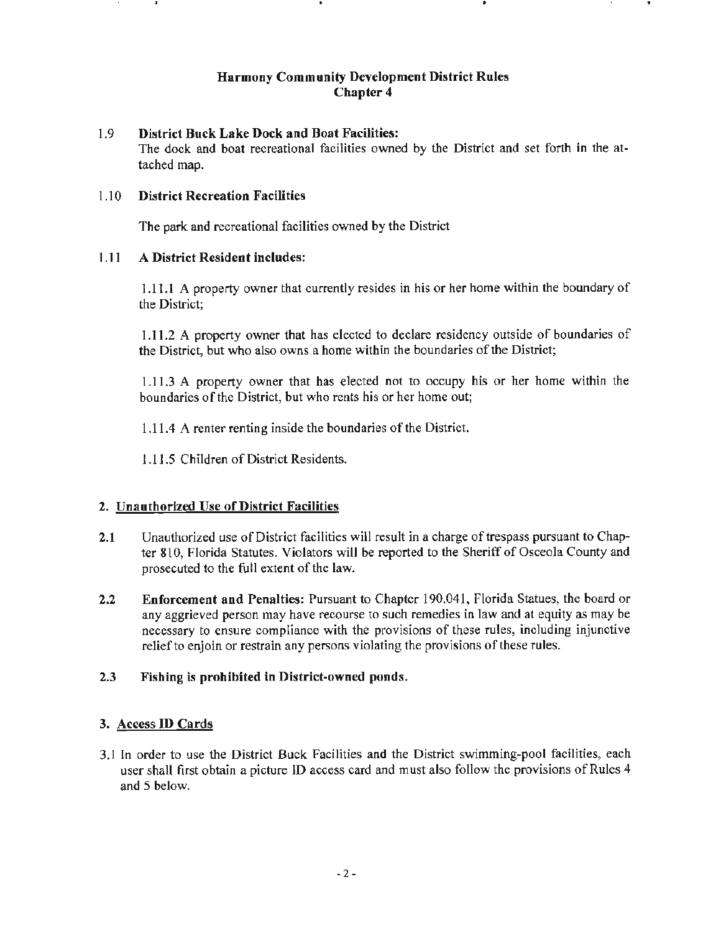## 1.9 **District Buck Lake Dock and Boat Facilities:**

The dock and boat recreational facilities owned by the District and set forth in the attached map.

## 1 .1 0 **District Recreation Facilities**

The park and recreational facilities owned by the District

## 1.11 **A District Resident includes:**

1.11. **1** A property owner that currently resides in his or her home within the boundary of the District;

1.11.2 A property owner that has elected to declare residency outside of boundaries of the District, but who also owns a home within the boundaries of the District;

1.11.3 A property owner that has elected not to occupy his or her home within the boundaries of the District, but who rents his or her home out;

1.11.4 A renter renting inside the boundaries of the District.

1.11.5 Children of District Residents.

## **2. Unauthorized Use of District Facilities**

- **2.1** Unauthorized use of District facilities will result in a charge of trespass pursuant to Chapter 810, Florida Statutes. Violators will be reported to the Sheriff of Osceola County and prosecuted to the full extent of the law.
- **2.2 Enforcement and Penalties:** Pursuant to Chapter 190.041, Florida Statues, the board or any aggrieved person may have recourse to such remedies in law and at equity as may be necessary to ensure compliance with the provisions of these rules, including injunctive relief to enjoin or restrain any persons violating the provisions of these rules.

## **2.3 Fishing is prohibited in District-owned ponds.**

## **3. Access ID Cards**

3 .1 In order to use the District Buck Facilities and the District swimming-pool facilities, each user shall first obtain a picture ID access card and must also follow the provisions of Rules 4 and 5 below.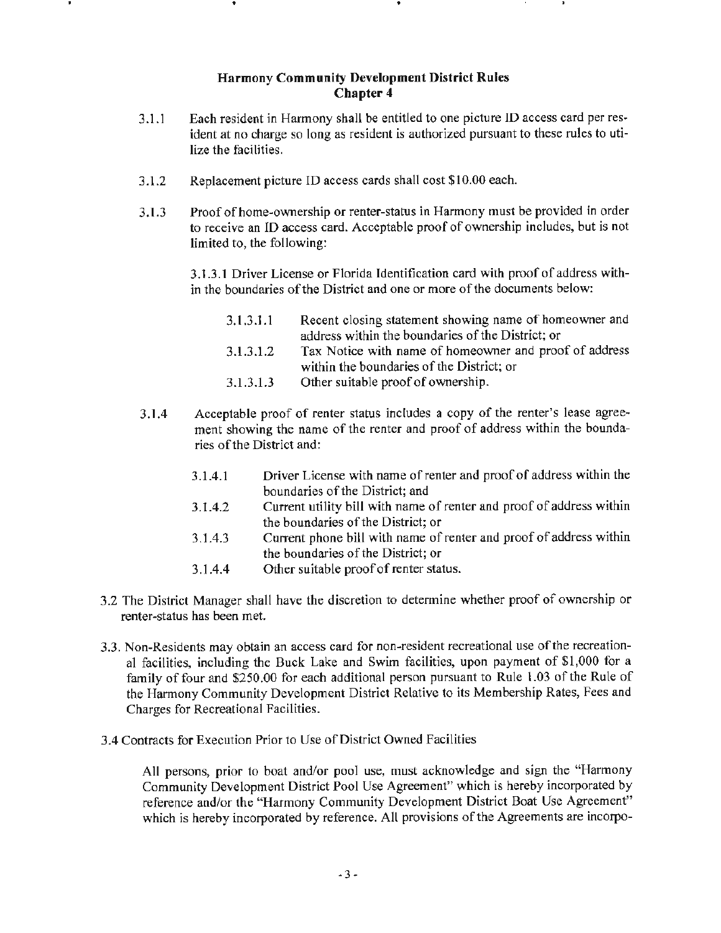- 3.1.1 Each resident in Harmony shall be entitled to one picture ID access card per resident at no charge so long as resident is authorized pursuant to these rules to utilize the facilities.
- 3.1.2 Replacement picture ID access cards shall cost \$10.00 each.
- 3.1.3 Proof of home-ownership or renter-status in Harmony must be provided in order to receive an ID access card. Acceptable proof of ownership includes, but is not limited to, the following:

3.1.3.1 Driver License or Florida Identification card with proof of address within the boundaries of the District and one or more of the documents below:

- 3.1.3.1.1 3.1.3.1.2 Recent closing statement showing name of homeowner and address within the boundaries of the District; or Tax Notice with name of homeowner and proof of address
- 3.1.3.1.3 within the boundaries of the District; or Other suitable proof of ownership.
- 3.1.4 Acceptable proof of renter status includes a copy of the renter's lease agreement showing the name of the renter and proof of address within the boundaries of the District and:
	- 3.1.4.1 Driver License with name of renter and proof of address within the boundaries of the District; and
	- 3.1.4.2 Current utility bill with name of renter and proof of address within the boundaries of the District; or
	- 3.1.4.3 Current phone bill with name of renter and proof of address within the boundaries of the District; or
	- 3.1.4.4 Other suitable proof of renter status.
- 3.2 The District Manager shall have the discretion to determine whether proof of ownership or renter-status has been met.
- 3.3. Non-Residents may obtain an access card for non-resident recreational use of the recreational facilities, including the Buck Lake and Swim facilities, upon payment of \$1,000 for a family of four and \$250.00 for each additional person pursuant to Rule l.03 of the Rule of the Harmony Community Development District Relative to its Membership Rates, Fees and Charges for Recreational Facilities.
- 3.4 Contracts for Execution Prior to Use of District Owned Facilities

All persons, prior to boat and/or pool use, must acknowledge and sign the "Harmony Community Development District Pool Use Agreement" which is hereby incorporated by reference and/or the "Harmony Community Development District Boat Use Agreement" which is hereby incorporated by reference. All provisions of the Agreements are incorpo-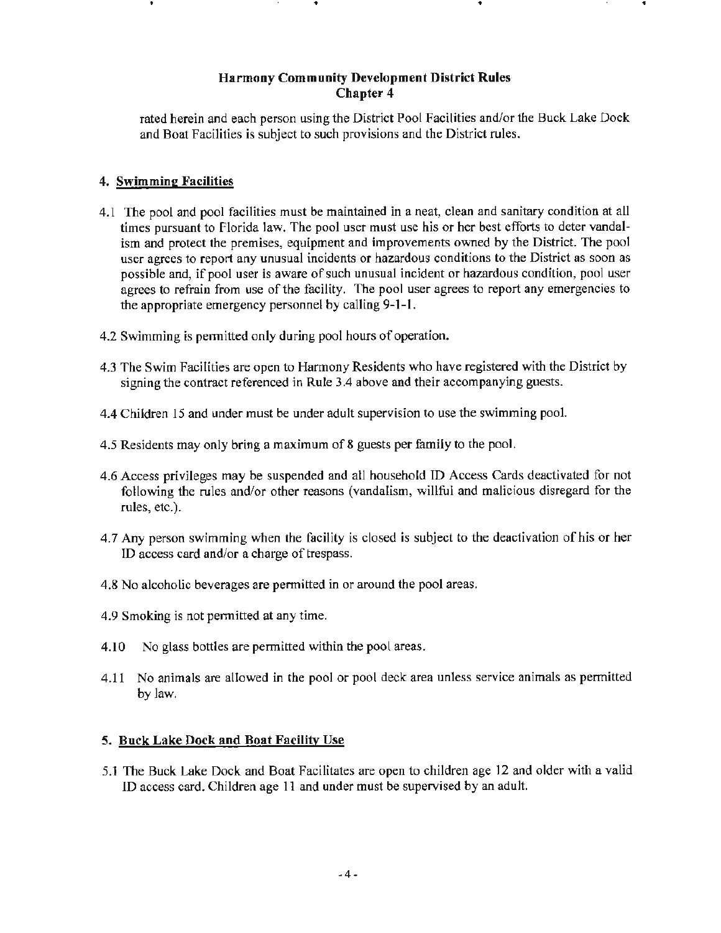rated herein and each person using the District Pool Facilities and/or the Buck Lake Dock and Boat Facilities is subject to such provisions and the District rules.

## 4. **Swimming Facilities**

 $\mathbf{r}$ 

- 4.1 The pool and pool facilities must be maintained in a neat, clean and sanitary condition at all times pursuant to Florida law. The pool user must use his or her best efforts to deter vandalism and protect the premises, equipment and improvements owned by the District. The pool user agrees to report any unusual incidents or hazardous conditions to the District as soon as possible and, if pool user is aware of such unusual incident or hazardous condition, pool user agrees to refrain from use of the facility. The pool user agrees to report any emergencies to the appropriate emergency personnel by calling **9-1-1.**
- 4.2 Swimming is permitted only during pool hours of operation.
- 4.3 The Swim Facilities are open to Harmony Residents who have registered with the District by signing the contract referenced in Rule 3.4 above and their accompanying guests.
- 4.4 Children 15 and under must be under adult supervision to use the swimming pool.
- 4.5 Residents may only bring a maximum of 8 guests per family to the pool.
- 4.6 Access privileges may be suspended and all household ID Access Cards deactivated for not following the rules and/or other reasons (vandalism, willful and malicious disregard for the rules, etc.).
- 4.7 Any person swimming when the facility is closed is subject to the deactivation of his or her ID access card and/or a charge of trespass.
- 4.8 No alcoholic beverages are permitted in or around the pool areas.
- 4.9 Smoking is not pennitted at any time.
- 4.10 No glass bottles are permitted within the pool areas.
- 4.11 No animals are allowed in the pool or pool deck area unless service animals as permitted by law.

## **5. Buck Lake Dock and Boat Facility Use**

5.1 The Buck Lake Dock and Boat Facilitates are open to children age 12 and older with a valid ID access card. Children age 11 and under must be supervised by an adult.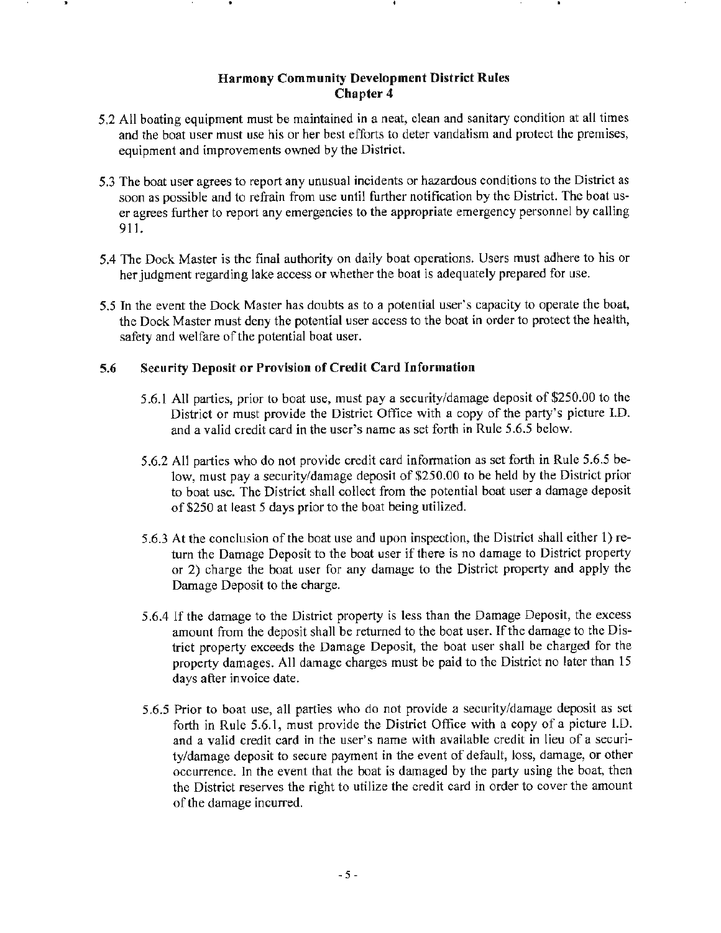- 5.2 All boating equipment must be maintained in a neat, clean and sanitary condition at all times and the boat user must use his or her best efforts to deter vandalism and protect the premises, equipment and improvements owned by the District.
- 5 .3 The boat user agrees to report any unusual incidents or hazardous conditions to the District as soon as possible and to refrain from use until further notification by the District. The boat user agrees further to report any emergencies to the appropriate emergency personnel by calling 911.
- 5.4 The Dock Master is the final authority on daily boat operations. Users must adhere to his or her judgment regarding lake access or whether the boat is adequately prepared for use.
- 5.5 In the event the Dock Master has doubts as to a potential user's capacity to operate the boat, the Dock Master must deny the potential user access to the boat in order to protect the health, safety and welfare of the potential boat user.

## **5.6 Security Deposit or Provision of Credit Card Information**

- 5.6.1 All parties, prior to boat use, must pay a security/damage deposit of \$250.00 to the District or must provide the District Office with a copy of the party's picture I.D. and a valid credit card in the user's name as set forth in Rule 5.6.5 below.
- 5.6.2 All parties who do not provide credit card information as set forth in Rule 5.6.5 below, must pay a security/damage deposit of \$250.00 to be held by the District prior to boat use. The District shall collect from the potential boat user a damage deposit of \$250 at least 5 days prior to the boat being utilized.
- 5.6.3 At the conclusion of the boat use and upon inspection, the District shall either 1) return the Damage Deposit to the boat user if there is no damage to District property or 2) charge the boat user for any damage to the District property and apply the Damage Deposit to the charge.
- 5.6.4 If the damage to the District property is less than the Damage Deposit, the excess amount from the deposit shall be returned to the boat user. If the damage to the District property exceeds the Damage Deposit, the boat user shall be charged for the property damages. All damage charges must be paid to the District no later than 15 days after invoice date.
- 5.6.5 Prior to boat use, all parties who do not provide a security/damage deposit as set forth in Rule *5* .6.1, must provide the District Office with a copy of a picture l.D. and a valid credit card in the user's name with available credit in lieu of a security/damage deposit to secure payment in the event of default, loss, damage, or other occurrence. In the event that the boat is damaged by the party using the boat, then the District reserves the right to utilize the credit card in order to cover the amount of the damage incurred.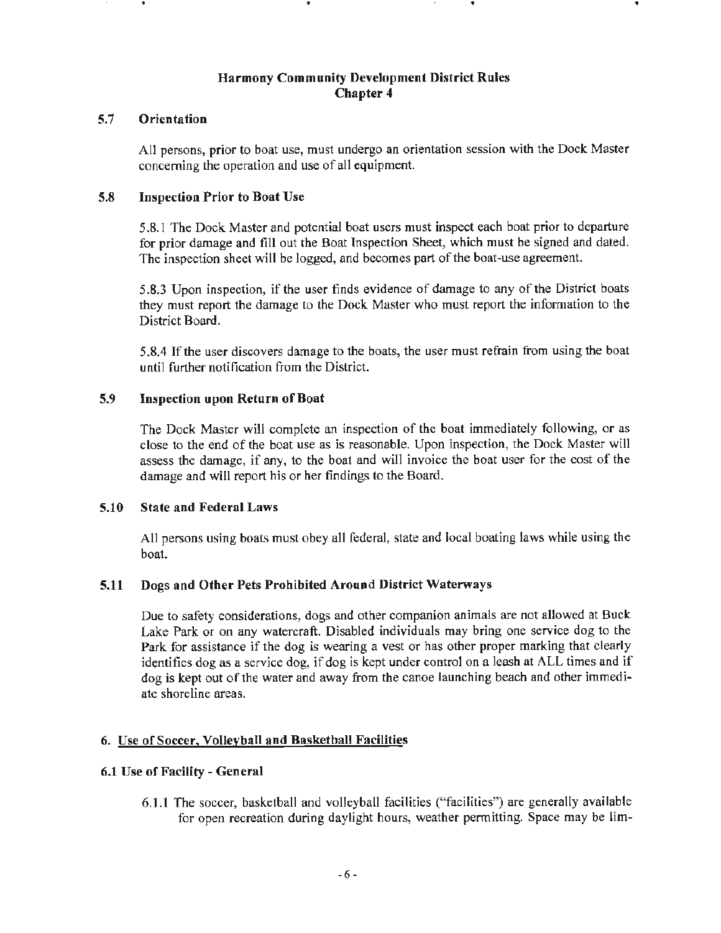## **5.7 Orientation**

All persons, prior to boat use, must undergo an orientation session with the Dock Master concerning the operation and use of all equipment.

## **5.8 Inspection Prior to Boat Use**

• . ..

5.8.1 The Dock Master and potential boat users must inspect each boat prior to departure for prior damage and fill out the Boat lnspection Sheet, which must be signed and dated. The inspection sheet will be logged, and becomes part of the boat•use agreement.

5.8.3 Upon inspection, if the user finds evidence of damage to any of the District boats they must report the damage to the Dock Master who must report the information to the District Board.

5.8.4 If the user discovers damage to the boats, the user must refrain from using the boat until further notification from the District.

## **5.9 Inspection upon Return of Boat**

The Dock Master will complete an inspection of the boat immediately following, or as close to the end of the boat use as is reasonable. Upon inspection, the Dock Master will assess the damage, if any, to the boat and will invoice the boat user for the cost of the damage and will report his or her findings to the Board.

#### **5.10 State and Federal Laws**

All persons using boats must obey all federal, state and local boating laws while using the boat.

## **5.11 Dogs and Other Pets Prohibited Around District Watenvays**

Due to safety considerations, dogs and other companion animals are not allowed at Buck Lake Park or on any watercraft. Disabled individuals may bring one service dog to the Park for assistance if the dog is wearing a vest or has other proper marking that clearly identifies dog as a service dog, if dog is kept under control on a leash at ALL times and if dog is kept out of the water and away from the canoe launching beach and other immediate shoreline areas.

#### **6. Use of Soccer, Volleyball and Basketball Facilities**

#### **6.1 Use of Facility** - **General**

**6.1.1** The soccer, basketball and volleyball facilities ("facilities") are generally available for open recreation during daylight hours, weather pennitting. Space may be lim·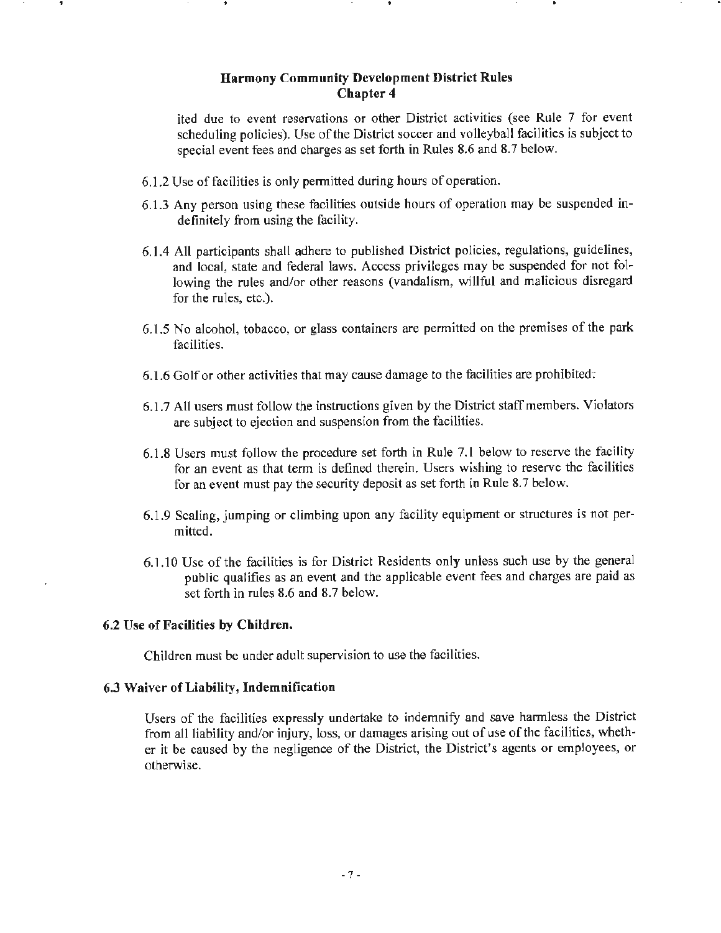ited due to event reservations or other District activities (see Rule 7 for event scheduling policies). Use of the District soccer and volleyball facilities is subject to special event fees and charges as set forth in Rules 8.6 and 8.7 below.

- 6.1.2 Use of facilities is only permitted during hours of operation.
- 6.1.3 Any person using these facilities outside hours of operation may be suspended indefinitely from using the facility.
- 6.1.4 All participants shall adhere to published District policies, regulations, guidelines, and local, state and federal laws. Access privileges may be suspended for not following the rules and/or other reasons (vandalism, willful and malicious disregard for the rules, etc.).
- 6.1.5 No alcohol, tobacco, or glass containers are permitted on the premises of the park facilities.
- 6.1.6 Golf or other activities that may cause damage to the facilities are prohibited·;
- 6.1.7 All users must follow the instructions given by the District staff members. Violators are subject to ejection and suspension from the facilities.
- 6.1.8 Users must follow the procedure set forth in Rule 7.1 below to reserve the facility for an event as that term is defined therein. Users wishing to reserve the facilities for an event must pay the security deposit as set forth in Rule 8.7 below.
- 6.1.9 Scaling, jumping or climbing upon any facility equipment or structures is not permitted.
- 6.1.10 Use of the facilities is for District Residents only unless such use by the general public qualifies as an event and the applicable event fees and charges are paid as set forth in rules 8.6 and 8.7 below.

#### **6.2 Use of Facilities by Children.**

. .

Children must be under adult supervision to use the facilities.

#### **6.3 Waiver of Liability, Indemnification**

Users of the facilities expressly undertake to indemnify and save harmless the District from all liability and/or injury, loss, or damages arising out of use of the facilities, whether it be caused by the negligence of the District, the District's agents or employees, or otherwise.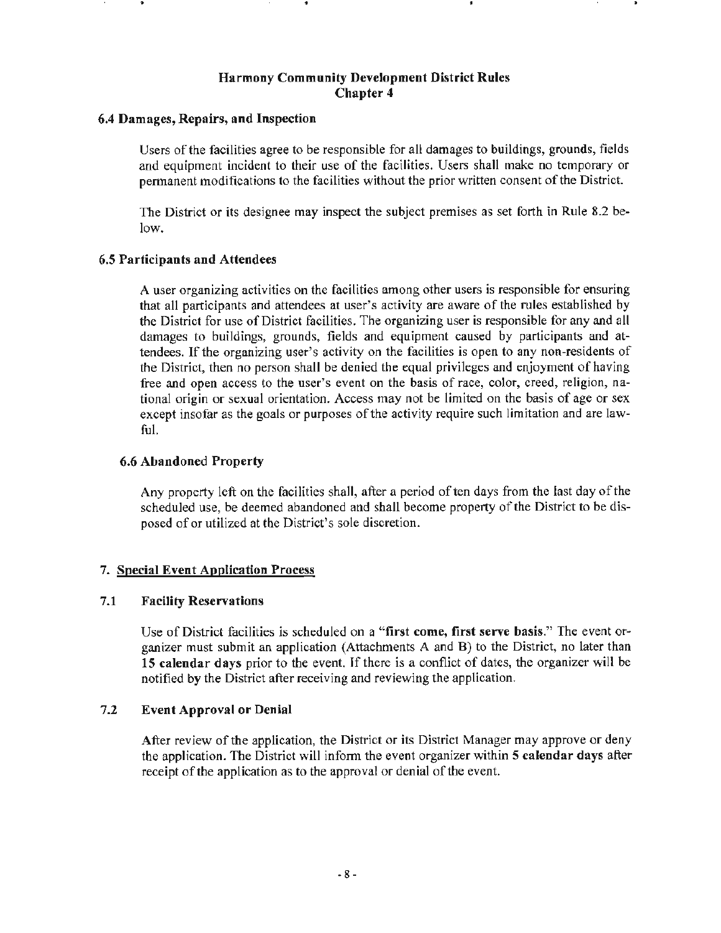#### **6.4 Damages, Repairs, and Inspection**

Users of the facilities agree to be responsible for all damages to buildings, grounds, fields and equipment incident to their use of the facilities. Users shall make no temporary or permanent modifications to the facilities without the prior written consent of the District.

The District or its designee may inspect the subject premises as set forth in Rule 8.2 below.

#### **6.5 Participants and Attendees**

A user organizing activities on the facilities among other users is responsible for ensuring that all participants and attendees at user's activity are aware of the rules established by the District for use of District facilities. The organizing user is responsible for any and all damages to buildings, grounds, fields and equipment caused by participants and attendees. If the organizing user's activity on the facilities is open to any non-residents of the District, then no person shall be denied the equal privileges and enjoyment of having free and open access to the user's event on the basis of race, color, creed, religion, national origin or sexual orientation. Access may not be limited on the basis of age or sex except insofar as the goals or purposes of the activity require such limitation and are lawful.

### **6.6 Abandoned Property**

Any property left on the facilities shall, after a period of ten days from the last day of the scheduled use, be deemed abandoned and shall become property of the District to be disposed of or utilized at the District's sole discretion.

## 7. **Special Event Application Process**

#### 7 **.1 Facility Reservations**

Use of District facilities is scheduled on a **"first come, first serve basis."** The event organizer must submit an application (Attachments A and B) to the District, no later than **15 calendar days** prior to the event. If there is a conflict of dates, the organizer will be notified by the District after receiving and reviewing the application.

#### 7.2 **Event Approval or Denial**

After review of the application, the District or its District Manager may approve or deny the application. The District will inform the event organizer within **5 calendar days** after receipt of the application as to the approval or denial of the event.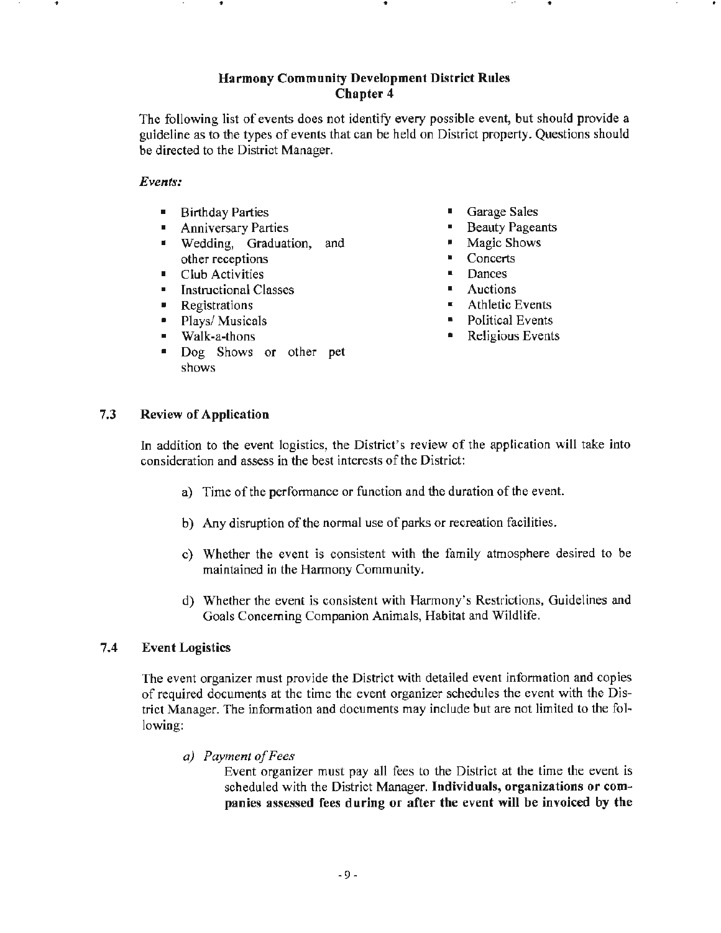. .. .. . .. . ..

The following list of events does not identify every possible event, but should provide a guideline as to the types of events that can be held on District property. Questions should be directed to the District Manager.

Events:

- **Birthday Parties**
- Anniversary Parties
- Wedding, Graduation, and other receptions
- Club Activities
- Instructional Classes
- **•** Registrations
- Plays/ Musicals
- Walk-a-thens
- Dog Shows or other pet shows
- Garage Sales
- Beauty Pageants
- Magic Shows
- Concerts
- Dances
- **•** Auctions
- Athletic Events
- Political Events
- Religious Events

## 7 .3 **Review** of **Application**

In addition to the event logistics, the District's review of the application will take into consideration and assess in the best interests of the District:

- a) Time of the performance or function and the duration of the event.
- b) Any disruption of the normal use of parks or recreation facilities.
- c) Whether the event is consistent with the family atmosphere desired to be maintained **in** the Harmony Community.
- d) Whether the event is consistent with Harmony's Restrictions, Guidelines and Goals Concerning Companion Animals, Habitat and Wildlife.

#### **7.4 Event Logistics**

The event organizer must provide the District with detailed event information and copies of required documents at the time the event organizer schedules the event with the District Manager. The information and documents may include but are not limited to the following:

*a) Payment of Fees* 

Event organizer must pay all fees to the District at the time the event is scheduled with the District Manager. **Individuals, organizations or companies assessed fees during or after the event will be invoiced by the**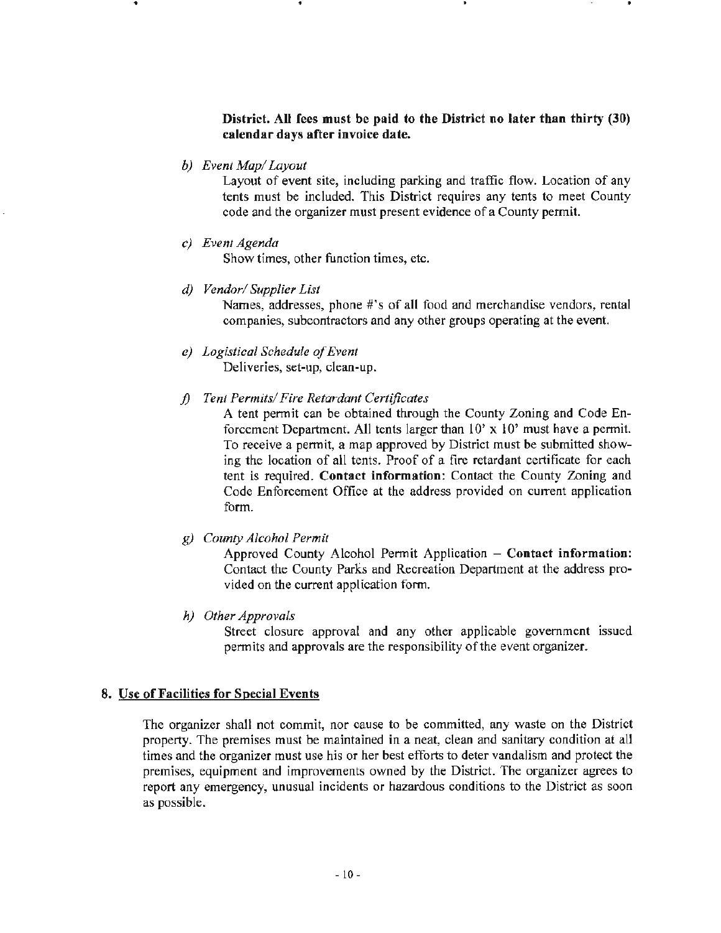## **District. All fees must be paid to the District no later than thirty (30) calendar days after invoice date.**

*b) Event Map/ Layout* 

Layout of event site, including parking and traffic flow. Location of any tents must be included. This District requires any tents to meet County code and the organizer must present evidence of a County permit.

*c) Event Agenda* 

Show times, other function times, etc.

*d) Vendor/ Supplier List* 

Names, addresses, phone #'s of all food and merchandise vendors, rental companies, subcontractors and any other groups operating at the event.

- *e) Logistical Schedule of Event*  Deliveries, set-up, clean-up.
- *f) Tent Permits/ Fire Retardant Certificates*

A tent permit can be obtained through the County Zoning and Code Enforcement Department. All tents larger than  $10'$  x  $10'$  must have a permit. To receive a pennit, a map approved by District must be submitted showing the location of all tents. Proof of a fire retardant certificate for each tent is required. **Contact information:** Contact the County Zoning and Code Enforcement Office at the address provided on current application form.

g) *County* Alcohol *Permit* 

Approved County Alcohol Pennit Application - **Contact information:**  Contact the County Parks and Recreation Department at the address provided on the current application form.

*h) Other Approvals* 

Street closure approval and any other applicable government issued permits and approvals are the responsibility of the event organizer.

#### **8. Use of Facilities for Special Events**

The organizer shall not commit, nor cause to be committed, any waste on the District property. The premises must be maintained in a neat, clean and sanitary condition at all times and the organizer must use his or her best efforts to deter vandalism and protect the premises, equipment and improvements owned by the District. The organizer agrees to report any emergency, unusual incidents or hazardous conditions to the District as soon as possible.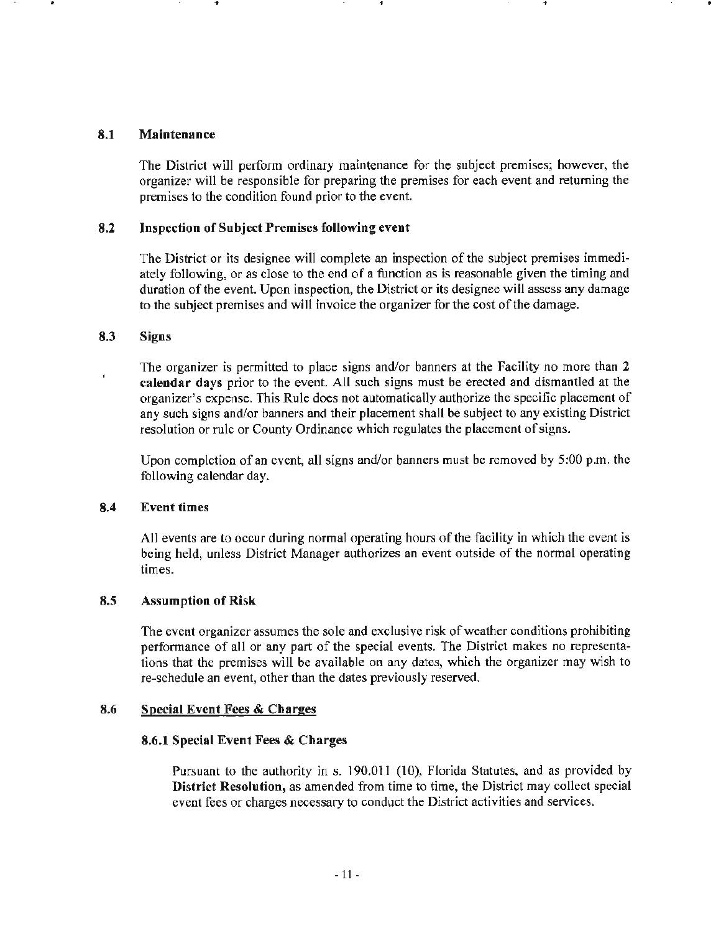#### **8.1 Maintenance**

The District will perform ordinary maintenance for the subject premises; however, the organizer will be responsible for preparing the premises for each event and returning the premises to the condition found prior to the event.

•

#### **8.2 Inspection of Subject Premises following event**

.. . .

The District or its designee will complete an inspection of the subject premises immediately following, or as close to the end of a function as is reasonable given the timing and duration of the event. Upon inspection, the District or its designee will assess any damage to the subject premises and will invoice the organizer for the cost of the damage.

#### **8.3 Signs**

The organizer is permitted to place signs and/or banners at the Facility no more than **2 calendar days** prior to the event. All such signs must be erected and dismantled at the organizer's expense. This Rule does not automatically authorize the specific placement of any such signs and/or banners and their placement shall be subject to any existing District resolution or rule or County Ordinance which regulates the placement of signs.

Upon completion of an event, all signs and/or banners must be removed by 5:00 p.m. the following calendar day.

#### **8.4 Event times**

All events are to occur during normal operating hours of the facility in which the event is being held, unless District Manager authorizes an event outside of the normal operating times.

#### **8.5 Assumption of Risk**

The event organizer assumes the sole and exclusive risk of weather conditions prohibiting performance of all or any part of the special events. The District makes no representations that the premises will be available on any dates, which the organizer may wish to re-schedule an event, other than the dates previously reserved.

#### **8.6 Special Event Fees** & **Charges**

#### **8.6.1 Special Event Fees** & **Charges**

Pursuant to the authority in s. 190.011 (10), Florida Statutes, and as provided by **District Resolution,** as amended from time to time, the District may collect special event fees or charges necessary to conduct the District activities and services.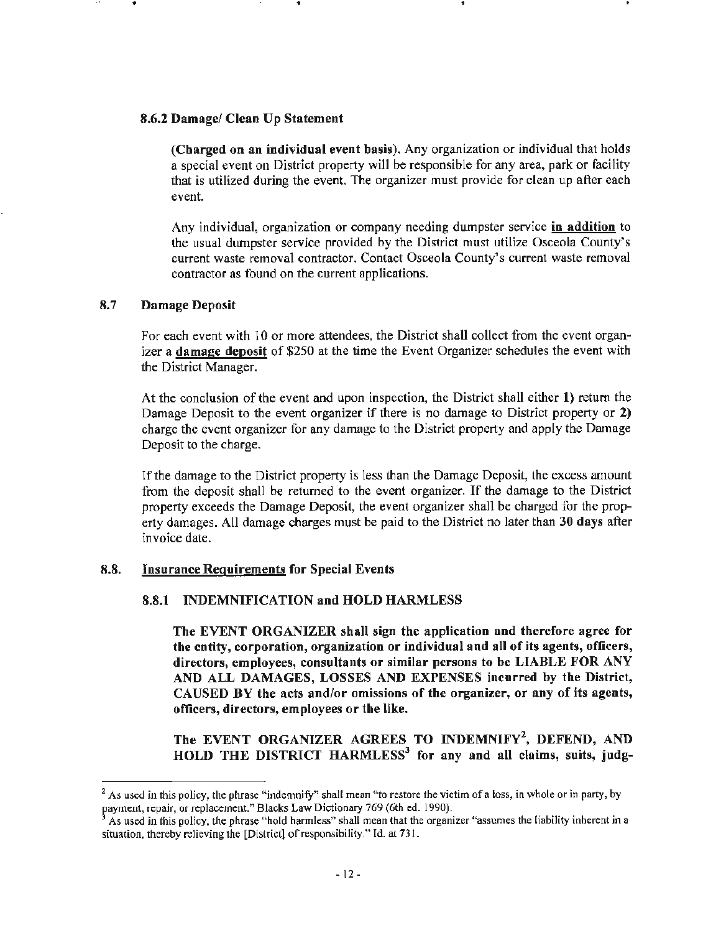## **8.6.2 Damage/ Clean Up Statement**

**(Charged on an individual event basis).** Any organization or individual that holds a special event on District property will be responsible for any area, park or facility that is utilized during the event. The organizer must provide for clean up after each event.

Any individual, organization or company needing dumpster service **in addition** to the usual dumpster service provided by the District must utilize Osceola County's current waste removal contractor. Contact Osceola County's current waste removal contractor as found on the current applications.

## 8.7 **Damage Deposit**

...

For each event with IO or more attendees, the District shall collect from the event organizer a **damage deposit** of \$250 at the time the Event Organizer schedules the event with the District Manager.

At the conclusion of the event and upon inspection, the District shall either **1)** return the Damage Deposit to the event organizer if there is no damage to District property or **2)**  charge the event organizer for any damage to the District property and apply the Damage Deposit to the charge.

If the damage to the District property is less than the Damage Deposit, the excess amount from the deposit shall be returned to the event organizer. If the damage to the District property exceeds the Damage Deposit, the event organizer shall be charged for the property damages. All damage charges must be paid to the District no later than **30 days** after invoice date.

## **8.8. Insurance Requirements for Special Events**

## **8.8.1 INDEMNIFICATION and HOLD HARMLESS**

**The EVENT ORGANIZER shall sign the application and therefore agree for the entity, corporation, organization or individual and all of its agents, officers, directors, employees, consultants or similar persons to be LIABLE FOR ANY AND ALL DAMAGES, LOSSES AND EXPENSES incurred by the District, CAUSED BY the acts and/or omissions of the organizer, or any of its agents, officers, directors, employees** or **the like.** 

The EVENT ORGANIZER AGREES TO INDEMNIFY<sup>2</sup>, DEFEND, AND **HOLD THE DISTRICT HARMLESS<sup>3</sup>for any and all claims, suits, judg-**

<sup>&</sup>lt;sup>2</sup> As used in this policy, the phrase "indemnify" shall mean "to restore the victim of a loss, in whole or in party, by payment, repair, or replacement." Blacks Law Dictionary 769 (6th ed. 1990).

As used in this policy, the phrase "hold harmless" shall mean that the organizer "assumes the liability inherent in a situation, thereby relieving the [District] of responsibility." [d. at 731.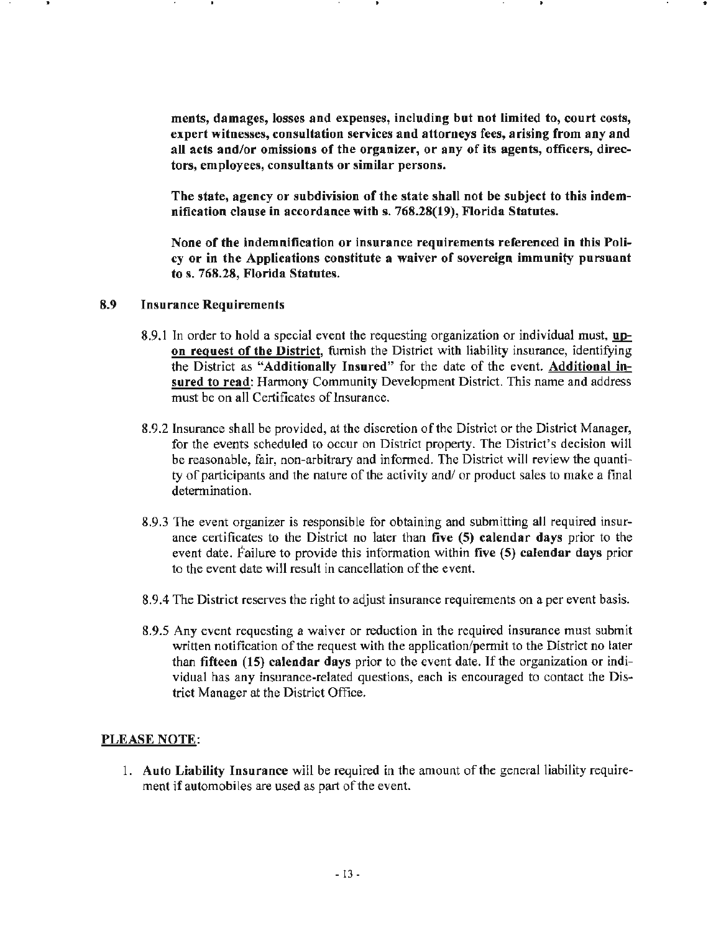**ments, damages, losses and expenses, including but not limited to, court costs, expert witnesses, consultation services and attorneys fees, arising from any and all acts and/or omissions of the organizer, or any of its agents, officers, directors, employees, consultants or similar persons.** 

**The state, agency or subdivision of the state shall not be subject to this indemnification clause in accordance with s. 768.28(19), Florida Statutes.** 

**None of the indemnification or insurance requirements referenced in this Policy or in the Applications constitute a waiver of sovereign immunity pursuant to s. 768.28, Florida Statutes.** 

- **8.9 Insurance Requirements** 
	- 8.9.1 In order to hold a special event the requesting organization or individual must, **upon request of the District,** furnish the District with liability insurance, identifying the District as **"Additionally Insured"** for the date of the event. **Additional insured** to **read:** Harmony Community Development District. This name and address must be on all Certificates of Insurance.
	- 8.9.2 Insurance shall be provided, at the discretion of the District or the District Manager, for the events scheduled to occur on District property. The District's decision will be reasonable, fair, non-arbitrary and informed. The District will review the quantity of participants and the nature of the activity and/ or product sales to make a final determination.
	- 8.9.3 The event organizer is responsible for obtaining and submitting all required insurance certificates to the District no later than **five (5) calendar days** prior to the event date. Failure to provide this inf01mation within **five (5) calendar days** prior to the event date will result in cancellation of the event.
	- 8.9.4 The District reserves the right to adjust insurance requirements on a per event basis.
	- 8.9.5 Any event requesting a waiver or reduction in the required insurance must submit written notification of the request with the application/permit to the District no later than **fifteen (15) calendar days** prior to the event date. If the organization or individual has any insurance-related questions, each is encouraged to contact the District Manager at the District Office.

#### **PLEASE NOTE:**

1. **Auto Liability Insurance** will be required in the amount of the general liability requirement if automobiles are used as part of the event.